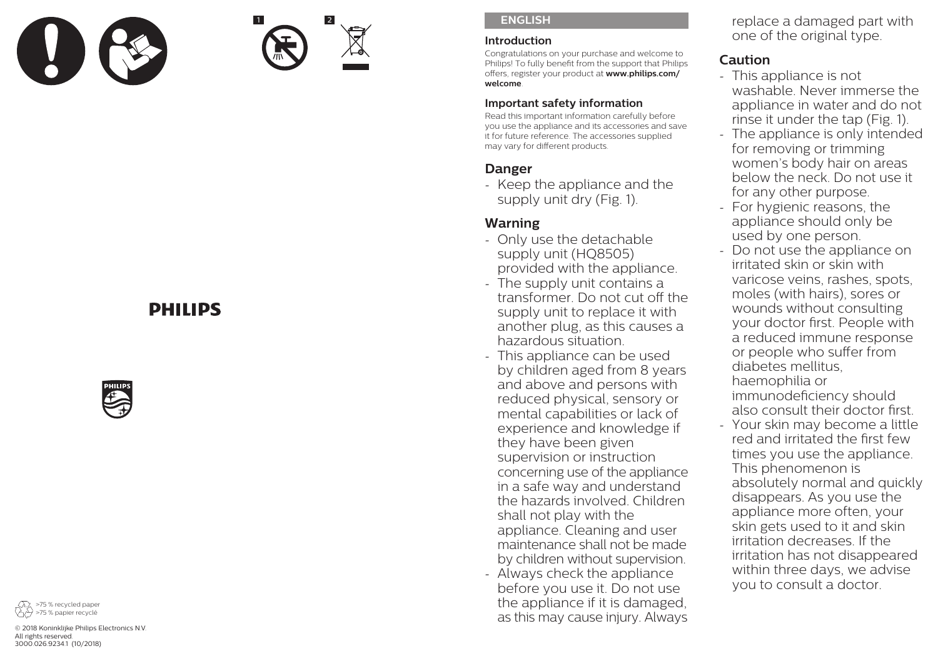

1 2

### **ENGLISH**

#### **Introduction**

Congratulations on your purchase and welcome to Philips! To fully benefit from the support that Philips offers, register your product at **www.philips.com/ welcome**.

# **Important safety information**

Read this important information carefully before you use the appliance and its accessories and save it for future reference. The accessories supplied may vary for different products.

# **Danger**

- Keep the appliance and the supply unit dry (Fig. 1).

# **Warning**

- Only use the detachable supply unit (HQ8505) provided with the appliance.
- The supply unit contains a transformer. Do not cut off the supply unit to replace it with another plug, as this causes a hazardous situation.
- This appliance can be used by children aged from 8 years and above and persons with reduced physical, sensory or mental capabilities or lack of experience and knowledge if they have been given supervision or instruction concerning use of the appliance in a safe way and understand the hazards involved. Children shall not play with the appliance. Cleaning and user maintenance shall not be made by children without supervision.
- Always check the appliance before you use it. Do not use the appliance if it is damaged, as this may cause injury. Always

replace a damaged part with one of the original type.

# **Caution**

- This appliance is not washable. Never immerse the appliance in water and do not rinse it under the tap (Fig. 1).
- The appliance is only intended for removing or trimming women's body hair on areas below the neck. Do not use it for any other purpose.
- For hygienic reasons, the appliance should only be used by one person.
- Do not use the appliance on irritated skin or skin with varicose veins, rashes, spots, moles (with hairs), sores or wounds without consulting your doctor first. People with a reduced immune response or people who suffer from diabetes mellitus, haemophilia or immunodeficiency should also consult their doctor first.
- Your skin may become a little red and irritated the first few times you use the appliance. This phenomenon is absolutely normal and quickly disappears. As you use the appliance more often, your skin gets used to it and skin irritation decreases. If the irritation has not disappeared within three days, we advise you to consult a doctor.

# **DHILIDS**





© 2018 Koninklijke Philips Electronics N.V. All rights reserved. 3000.026.9234.1 (10/2018)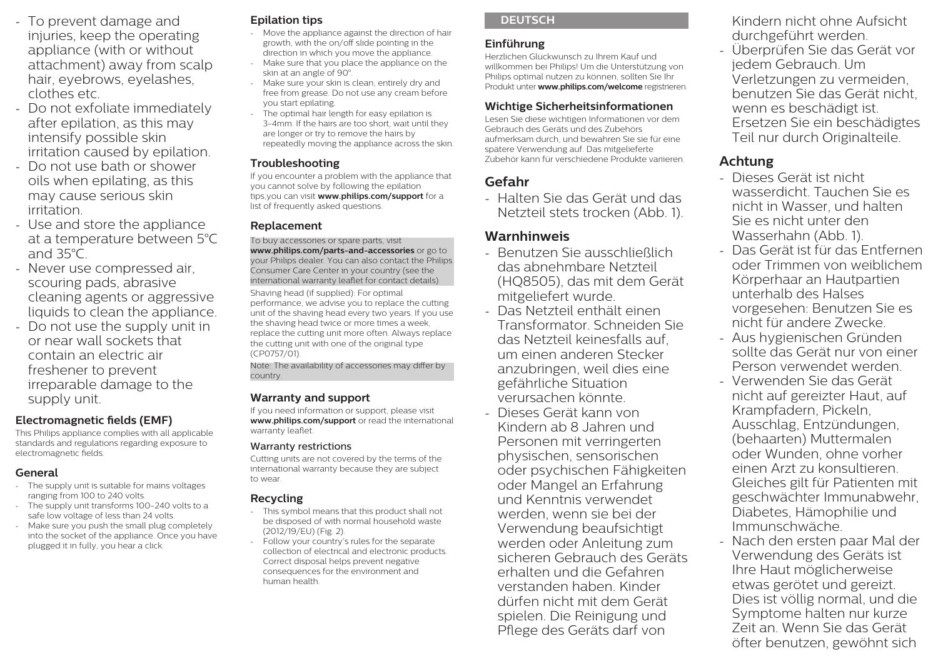- To prevent damage and injuries, keep the operating appliance (with or without attachment) away from scalp hair, eyebrows, eyelashes, clothes etc.
- Do not exfoliate immediately after epilation, as this may intensify possible skin irritation caused by epilation.
- Do not use bath or shower oils when epilating, as this may cause serious skin irritation.
- Use and store the appliance at a temperature between 5°C and 35°C.
- Never use compressed air, scouring pads, abrasive cleaning agents or aggressive liquids to clean the appliance.
- Do not use the supply unit in or near wall sockets that contain an electric air freshener to prevent irreparable damage to the supply unit.

#### **Electromagnetic fields (EMF)**

This Philips appliance complies with all applicable standards and regulations regarding exposure to electromagnetic fields.

#### **General**

- The supply unit is suitable for mains voltages ranging from 100 to 240 volts.
- The supply unit transforms 100-240 volts to a safe low voltage of less than 24 volts.
- Make sure you push the small plug completely into the socket of the appliance. Once you have plugged it in fully, you hear a click.

# **Epilation tips**

- Move the appliance against the direction of hair growth, with the on/off slide pointing in the direction in which you move the appliance.
- Make sure that you place the appliance on the skin at an angle of 90°.
- Make sure your skin is clean, entirely dry and free from grease. Do not use any cream before you start epilating.
- The optimal hair length for easy epilation is 3-4mm. If the hairs are too short, wait until they are longer or try to remove the hairs by repeatedly moving the appliance across the skin.

### **Troubleshooting**

If you encounter a problem with the appliance that you cannot solve by following the epilation tips,you can visit **www.philips.com/support** for a list of frequently asked questions.

#### **Replacement**

To buy accessories or spare parts, visit **www.philips.com/parts-and-accessories** or go to your Philips dealer. You can also contact the Philips Consumer Care Center in your country (see the international warranty leaflet for contact details). Shaving head (if supplied): For optimal performance, we advise you to replace the cutting unit of the shaving head every two years. If you use the shaving head twice or more times a week, replace the cutting unit more often. Always replace the cutting unit with one of the original type (CP0757/01).

Note: The availability of accessories may differ by country.

# **Warranty and support**

If you need information or support, please visit **www.philips.com/support** or read the international warranty leaflet.

#### Warranty restrictions

Cutting units are not covered by the terms of the international warranty because they are subject to wear.

# **Recycling**

- This symbol means that this product shall not be disposed of with normal household waste (2012/19/EU) (Fig. 2).
- Follow your country's rules for the separate collection of electrical and electronic products. Correct disposal helps prevent negative consequences for the environment and human health.

# **DEUTSCH**

# **Einführung**

Herzlichen Glückwunsch zu Ihrem Kauf und willkommen bei Philips! Um die Unterstützung von Philips optimal nutzen zu können, sollten Sie Ihr Produkt unter **www.philips.com/welcome** registrieren.

# **Wichtige Sicherheitsinformationen**

Lesen Sie diese wichtigen Informationen vor dem Gebrauch des Geräts und des Zubehörs aufmerksam durch, und bewahren Sie sie für eine spätere Verwendung auf. Das mitgelieferte Zubehör kann für verschiedene Produkte variieren.

# **Gefahr**

- Halten Sie das Gerät und das Netzteil stets trocken (Abb. 1).

# **Warnhinweis**

- Benutzen Sie ausschließlich das abnehmbare Netzteil (HQ8505), das mit dem Gerät mitgeliefert wurde.
- Das Netzteil enthält einen Transformator. Schneiden Sie das Netzteil keinesfalls auf, um einen anderen Stecker anzubringen, weil dies eine gefährliche Situation verursachen könnte.
- Dieses Gerät kann von Kindern ab 8 Jahren und Personen mit verringerten physischen, sensorischen oder psychischen Fähigkeiten oder Mangel an Erfahrung und Kenntnis verwendet werden, wenn sie bei der Verwendung beaufsichtigt werden oder Anleitung zum sicheren Gebrauch des Geräts erhalten und die Gefahren verstanden haben. Kinder dürfen nicht mit dem Gerät spielen. Die Reinigung und Pflege des Geräts darf von

Kindern nicht ohne Aufsicht durchgeführt werden.

- Überprüfen Sie das Gerät vor jedem Gebrauch. Um Verletzungen zu vermeiden, benutzen Sie das Gerät nicht, wenn es beschädigt ist. Ersetzen Sie ein beschädigtes Teil nur durch Originalteile.

# **Achtung**

- Dieses Gerät ist nicht wasserdicht. Tauchen Sie es nicht in Wasser, und halten Sie es nicht unter den Wasserhahn (Abb. 1).
- Das Gerät ist für das Entfernen oder Trimmen von weiblichem Körperhaar an Hautpartien unterhalb des Halses vorgesehen: Benutzen Sie es nicht für andere Zwecke.
- Aus hygienischen Gründen sollte das Gerät nur von einer Person verwendet werden.
- Verwenden Sie das Gerät nicht auf gereizter Haut, auf Krampfadern, Pickeln, Ausschlag, Entzündungen, (behaarten) Muttermalen oder Wunden, ohne vorher einen Arzt zu konsultieren. Gleiches gilt für Patienten mit geschwächter Immunabwehr, Diabetes, Hämophilie und Immunschwäche.
- Nach den ersten paar Mal der Verwendung des Geräts ist Ihre Haut möglicherweise etwas gerötet und gereizt. Dies ist völlig normal, und die Symptome halten nur kurze Zeit an. Wenn Sie das Gerät öfter benutzen, gewöhnt sich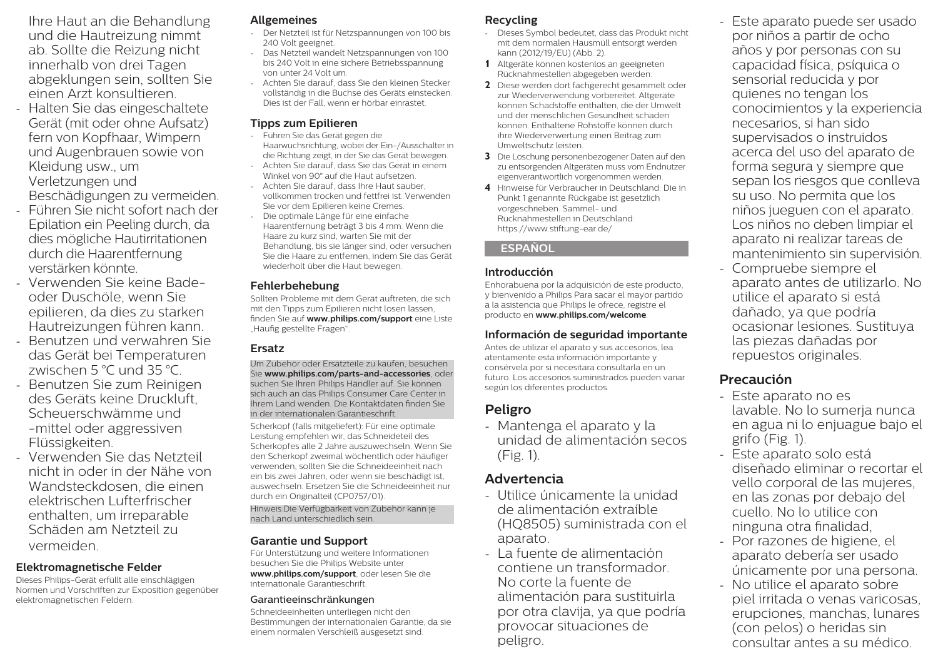Ihre Haut an die Behandlung und die Hautreizung nimmt ab. Sollte die Reizung nicht innerhalb von drei Tagen abgeklungen sein, sollten Sie einen Arzt konsultieren.

- Halten Sie das eingeschaltete Gerät (mit oder ohne Aufsatz) fern von Kopfhaar, Wimpern und Augenbrauen sowie von Kleidung usw., um Verletzungen und Beschädigungen zu vermeiden.
- Führen Sie nicht sofort nach der Epilation ein Peeling durch, da dies mögliche Hautirritationen durch die Haarentfernung verstärken könnte.
- Verwenden Sie keine Badeoder Duschöle, wenn Sie epilieren, da dies zu starken Hautreizungen führen kann.
- Benutzen und verwahren Sie das Gerät bei Temperaturen zwischen 5 °C und 35 °C.
- Benutzen Sie zum Reinigen des Geräts keine Druckluft, Scheuerschwämme und -mittel oder aggressiven Flüssigkeiten.
- Verwenden Sie das Netzteil nicht in oder in der Nähe von Wandsteckdosen, die einen elektrischen Lufterfrischer enthalten, um irreparable Schäden am Netzteil zu vermeiden.

# **Elektromagnetische Felder**

Dieses Philips-Gerät erfüllt alle einschlägigen Normen und Vorschriften zur Exposition gegenüber elektromagnetischen Feldern.

#### **Allgemeines**

- Der Netzteil ist für Netzspannungen von 100 bis 240 Volt geeignet.
- Das Netzteil wandelt Netzspannungen von 100 bis 240 Volt in eine sichere Betriebsspannung von unter 24 Volt um.
- Achten Sie darauf, dass Sie den kleinen Stecker vollständig in die Buchse des Geräts einstecken. Dies ist der Fall, wenn er hörbar einrastet.

### **Tipps zum Epilieren**

- Führen Sie das Gerät gegen die Haarwuchsrichtung, wobei der Ein-/Ausschalter in die Richtung zeigt, in der Sie das Gerät bewegen.
- Achten Sie darauf, dass Sie das Gerät in einem Winkel von 90° auf die Haut aufsetzen.
- Achten Sie darauf, dass Ihre Haut sauber, vollkommen trocken und fettfrei ist. Verwenden Sie vor dem Epilieren keine Cremes.
- Die optimale Länge für eine einfache Haarentfernung beträgt 3 bis 4 mm. Wenn die Haare zu kurz sind, warten Sie mit der Behandlung, bis sie länger sind, oder versuchen Sie die Haare zu entfernen, indem Sie das Gerät wiederholt über die Haut bewegen.

### **Fehlerbehebung**

Sollten Probleme mit dem Gerät auftreten, die sich mit den Tipps zum Epilieren nicht lösen lassen, finden Sie auf **www.philips.com/support** eine Liste "Häufig gestellte Fragen".

# **Ersatz**

Um Zubehör oder Ersatzteile zu kaufen, besuchen Sie **www.philips.com/parts-and-accessories**, oder suchen Sie Ihren Philips Händler auf. Sie können sich auch an das Philips Consumer Care Center in Ihrem Land wenden. Die Kontaktdaten finden Sie in der internationalen Garantieschrift.

Scherkopf (falls mitgeliefert): Für eine optimale Leistung empfehlen wir, das Schneideteil des Scherkopfes alle 2 Jahre auszuwechseln. Wenn Sie den Scherkopf zweimal wöchentlich oder häufiger verwenden, sollten Sie die Schneideeinheit nach ein bis zwei Jahren, oder wenn sie beschädigt ist, auswechseln. Ersetzen Sie die Schneideeinheit nur durch ein Originalteil (CP0757/01).

Hinweis:Die Verfügbarkeit von Zubehör kann je nach Land unterschiedlich sein.

# **Garantie und Support**

Für Unterstützung und weitere Informationen besuchen Sie die Philips Website unter **www.philips.com/support**, oder lesen Sie die internationale Garantieschrift.

#### Garantieeinschränkungen

Schneideeinheiten unterliegen nicht den Bestimmungen der internationalen Garantie, da sie einem normalen Verschleiß ausgesetzt sind.

# **Recycling**

- Dieses Symbol bedeutet, dass das Produkt nicht mit dem normalen Hausmüll entsorgt werden kann (2012/19/EU) (Abb. 2).
- **1** Altgeräte können kostenlos an geeigneten Rücknahmestellen abgegeben werden.
- **2** Diese werden dort fachgerecht gesammelt oder zur Wiederverwendung vorbereitet. Altgeräte können Schadstoffe enthalten, die der Umwelt und der menschlichen Gesundheit schaden können. Enthaltene Rohstoffe können durch ihre Wiederverwertung einen Beitrag zum Umweltschutz leisten.
- **3** Die Löschung personenbezogener Daten auf den zu entsorgenden Altgeräten muss vom Endnutzer eigenverantwortlich vorgenommen werden.
- **4** Hinweise für Verbraucher in Deutschland: Die in Punkt 1 genannte Rückgabe ist gesetzlich vorgeschrieben. Sammel- und Rücknahmestellen in Deutschland: https://www.stiftung-ear.de/

# **ESPAÑOL**

# **Introducción**

Enhorabuena por la adquisición de este producto, y bienvenido a Philips Para sacar el mayor partido a la asistencia que Philips le ofrece, registre el producto en **www.philips.com/welcome**.

# **Información de seguridad importante**

Antes de utilizar el aparato y sus accesorios, lea atentamente esta información importante y consérvela por si necesitara consultarla en un futuro. Los accesorios suministrados pueden variar según los diferentes productos.

# **Peligro**

- Mantenga el aparato y la unidad de alimentación secos (Fig. 1).

# **Advertencia**

- Utilice únicamente la unidad de alimentación extraíble (HQ8505) suministrada con el aparato.
- La fuente de alimentación contiene un transformador. No corte la fuente de alimentación para sustituirla por otra clavija, ya que podría provocar situaciones de peligro.
- Este aparato puede ser usado por niños a partir de ocho años y por personas con su capacidad física, psíquica o sensorial reducida y por quienes no tengan los conocimientos y la experiencia necesarios, si han sido supervisados o instruidos acerca del uso del aparato de forma segura y siempre que sepan los riesgos que conlleva su uso. No permita que los niños jueguen con el aparato. Los niños no deben limpiar el aparato ni realizar tareas de mantenimiento sin supervisión.
- Compruebe siempre el aparato antes de utilizarlo. No utilice el aparato si está dañado, ya que podría ocasionar lesiones. Sustituya las piezas dañadas por repuestos originales.

# **Precaución**

- Este aparato no es lavable. No lo sumerja nunca en agua ni lo enjuague bajo el grifo (Fig. 1).
- Este aparato solo está diseñado eliminar o recortar el vello corporal de las mujeres, en las zonas por debajo del cuello. No lo utilice con ninguna otra finalidad,
- Por razones de higiene, el aparato debería ser usado únicamente por una persona.
- No utilice el aparato sobre piel irritada o venas varicosas, erupciones, manchas, lunares (con pelos) o heridas sin consultar antes a su médico.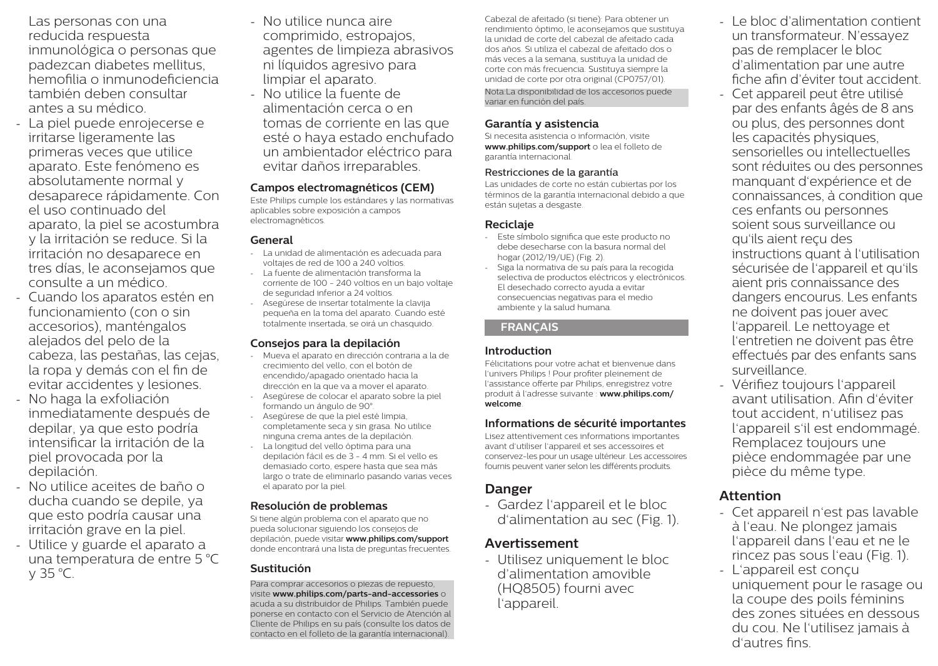Las personas con una reducida respuesta inmunológica o personas que padezcan diabetes mellitus, hemofilia o inmunodeficiencia también deben consultar antes a su médico.

- La piel puede enrojecerse e irritarse ligeramente las primeras veces que utilice aparato. Este fenómeno es absolutamente normal y desaparece rápidamente. Con el uso continuado del aparato, la piel se acostumbra y la irritación se reduce. Si la irritación no desaparece en tres días, le aconsejamos que consulte a un médico.
- Cuando los aparatos estén en funcionamiento (con o sin accesorios), manténgalos alejados del pelo de la cabeza, las pestañas, las cejas, la ropa y demás con el fin de evitar accidentes y lesiones.
- No haga la exfoliación inmediatamente después de depilar, ya que esto podría intensificar la irritación de la piel provocada por la depilación.
- No utilice aceites de baño o ducha cuando se depile, ya que esto podría causar una irritación grave en la piel.
- Utilice y guarde el aparato a una temperatura de entre 5 °C y 35 °C.
- No utilice nunca aire comprimido, estropajos, agentes de limpieza abrasivos ni líquidos agresivo para limpiar el aparato.
- No utilice la fuente de alimentación cerca o en tomas de corriente en las que esté o haya estado enchufado un ambientador eléctrico para evitar daños irreparables.

# **Campos electromagnéticos (CEM)**

Este Philips cumple los estándares y las normativas aplicables sobre exposición a campos electromagnéticos.

#### **General**

- La unidad de alimentación es adecuada para voltajes de red de 100 a 240 voltios.
- La fuente de alimentación transforma la corriente de 100 - 240 voltios en un bajo voltaje de seguridad inferior a 24 voltios.
- Asegúrese de insertar totalmente la clavija pequeña en la toma del aparato. Cuando esté totalmente insertada, se oirá un chasquido.

#### **Consejos para la depilación**

- Mueva el aparato en dirección contraria a la de crecimiento del vello, con el botón de encendido/apagado orientado hacia la dirección en la que va a mover el aparato.
- Asegúrese de colocar el aparato sobre la piel formando un ángulo de 90°.
- Asegúrese de que la piel esté limpia, completamente seca y sin grasa. No utilice ninguna crema antes de la depilación.
- La longitud del vello óptima para una depilación fácil es de 3 - 4 mm. Si el vello es demasiado corto, espere hasta que sea más largo o trate de eliminarlo pasando varias veces el aparato por la piel.

# **Resolución de problemas**

Si tiene algún problema con el aparato que no pueda solucionar siguiendo los consejos de depilación, puede visitar **www.philips.com/support** donde encontrará una lista de preguntas frecuentes.

#### **Sustitución**

Para comprar accesorios o piezas de repuesto, visite **www.philips.com/parts-and-accessories** o acuda a su distribuidor de Philips. También puede ponerse en contacto con el Servicio de Atención al Cliente de Philips en su país (consulte los datos de contacto en el folleto de la garantía internacional).

Cabezal de afeitado (si tiene): Para obtener un rendimiento óptimo, le aconsejamos que sustituya la unidad de corte del cabezal de afeitado cada dos años. Si utiliza el cabezal de afeitado dos o más veces a la semana, sustituya la unidad de corte con más frecuencia. Sustituya siempre la unidad de corte por otra original (CP0757/01). Nota:La disponibilidad de los accesorios puede variar en función del país.

# **Garantía y asistencia**

Si necesita asistencia o información, visite **www.philips.com/support** o lea el folleto de garantía internacional.

#### Restricciones de la garantía

Las unidades de corte no están cubiertas por los términos de la garantía internacional debido a que están sujetas a desgaste.

#### **Reciclaje**

- Este símbolo significa que este producto no debe desecharse con la basura normal del hogar (2012/19/UE) (Fig. 2).
- Siga la normativa de su país para la recogida selectiva de productos eléctricos y electrónicos. El desechado correcto ayuda a evitar consecuencias negativas para el medio ambiente y la salud humana.

#### **FRANÇAIS**

# **Introduction**

Félicitations pour votre achat et bienvenue dans l'univers Philips ! Pour profiter pleinement de l'assistance offerte par Philips, enregistrez votre produit à l'adresse suivante : **www.philips.com/ welcome**.

# **Informations de sécurité importantes**

Lisez attentivement ces informations importantes avant d'utiliser l'appareil et ses accessoires et conservez-les pour un usage ultérieur. Les accessoires fournis peuvent varier selon les différents produits.

# **Danger**

- Gardez l'appareil et le bloc d'alimentation au sec (Fig. 1).

# **Avertissement**

- Utilisez uniquement le bloc d'alimentation amovible (HQ8505) fourni avec l'appareil.

- Le bloc d'alimentation contient un transformateur. N'essayez pas de remplacer le bloc d'alimentation par une autre fiche afin d'éviter tout accident.
- Cet appareil peut être utilisé par des enfants âgés de 8 ans ou plus, des personnes dont les capacités physiques, sensorielles ou intellectuelles sont réduites ou des personnes manquant d'expérience et de connaissances, à condition que ces enfants ou personnes soient sous surveillance ou qu'ils aient reçu des instructions quant à l'utilisation sécurisée de l'appareil et qu'ils aient pris connaissance des dangers encourus. Les enfants ne doivent pas jouer avec l'appareil. Le nettoyage et l'entretien ne doivent pas être effectués par des enfants sans surveillance.
- Vérifiez toujours l'appareil avant utilisation. Afin d'éviter tout accident, n'utilisez pas l'appareil s'il est endommagé. Remplacez toujours une pièce endommagée par une pièce du même type.

# **Attention**

- Cet appareil n'est pas lavable à l'eau. Ne plongez jamais l'appareil dans l'eau et ne le rincez pas sous l'eau (Fig. 1).
- L'appareil est conçu uniquement pour le rasage ou la coupe des poils féminins des zones situées en dessous du cou. Ne l'utilisez jamais à d'autres fins.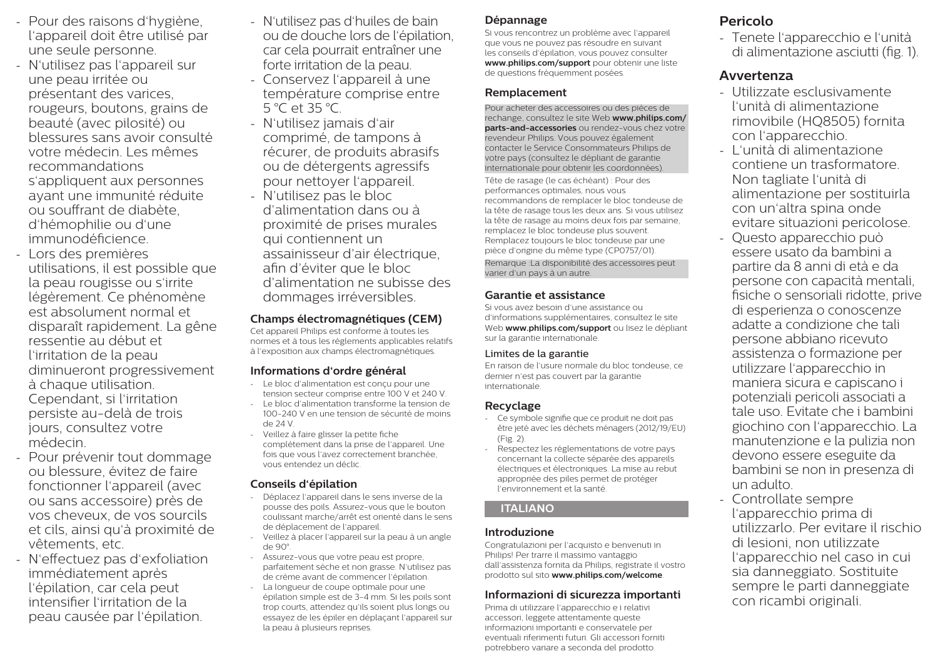- Pour des raisons d'hygiène, l'appareil doit être utilisé par une seule personne.
- N'utilisez pas l'appareil sur une peau irritée ou présentant des varices, rougeurs, boutons, grains de beauté (avec pilosité) ou blessures sans avoir consulté votre médecin. Les mêmes recommandations s'appliquent aux personnes ayant une immunité réduite ou souffrant de diabète, d'hémophilie ou d'une immunodéficience.
- Lors des premières utilisations, il est possible que la peau rougisse ou s'irrite légèrement. Ce phénomène est absolument normal et disparaît rapidement. La gêne ressentie au début et l'irritation de la peau diminueront progressivement à chaque utilisation. Cependant, si l'irritation persiste au-delà de trois jours, consultez votre médecin.
- Pour prévenir tout dommage ou blessure, évitez de faire fonctionner l'appareil (avec ou sans accessoire) près de vos cheveux, de vos sourcils et cils, ainsi qu'à proximité de vêtements, etc.
- N'effectuez pas d'exfoliation immédiatement après l'épilation, car cela peut intensifier l'irritation de la peau causée par l'épilation.
- N'utilisez pas d'huiles de bain ou de douche lors de l'épilation, car cela pourrait entraîner une forte irritation de la peau.
- Conservez l'appareil à une température comprise entre 5 °C et 35 °C.
- N'utilisez jamais d'air comprimé, de tampons à récurer, de produits abrasifs ou de détergents agressifs pour nettoyer l'appareil.
- N'utilisez pas le bloc d'alimentation dans ou à proximité de prises murales qui contiennent un assainisseur d'air électrique, afin d'éviter que le bloc d'alimentation ne subisse des dommages irréversibles.

#### **Champs électromagnétiques (CEM)**

Cet appareil Philips est conforme à toutes les normes et à tous les règlements applicables relatifs à l'exposition aux champs électromagnétiques.

# **Informations d'ordre général**

- Le bloc d'alimentation est conçu pour une tension secteur comprise entre 100 V et 240 V.
- Le bloc d'alimentation transforme la tension de 100-240 V en une tension de sécurité de moins de 24 V.
- Veillez à faire glisser la petite fiche complètement dans la prise de l'appareil. Une fois que vous l'avez correctement branchée, vous entendez un déclic.

# **Conseils d'épilation**

- Déplacez l'appareil dans le sens inverse de la pousse des poils. Assurez-vous que le bouton coulissant marche/arrêt est orienté dans le sens de déplacement de l'appareil.
- Veillez à placer l'appareil sur la peau à un angle de 90°.
- Assurez-vous que votre peau est propre, parfaitement sèche et non grasse. N'utilisez pas de crème avant de commencer l'épilation.
- La longueur de coupe optimale pour une épilation simple est de 3-4 mm. Si les poils sont trop courts, attendez qu'ils soient plus longs ou essayez de les épiler en déplaçant l'appareil sur la peau à plusieurs reprises.

# **Dépannage**

Si vous rencontrez un problème avec l'appareil que vous ne pouvez pas résoudre en suivant les conseils d'épilation, vous pouvez consulter **www.philips.com/support** pour obtenir une liste de questions fréquemment posées.

# **Remplacement**

Pour acheter des accessoires ou des pièces de rechange, consultez le site Web **www.philips.com/ parts-and-accessories** ou rendez-vous chez votre revendeur Philips. Vous pouvez également contacter le Service Consommateurs Philips de votre pays (consultez le dépliant de garantie internationale pour obtenir les coordonnées).

Tête de rasage (le cas échéant) : Pour des performances optimales, nous vous recommandons de remplacer le bloc tondeuse de la tête de rasage tous les deux ans. Si vous utilisez la tête de rasage au moins deux fois par semaine, remplacez le bloc tondeuse plus souvent. Remplacez toujours le bloc tondeuse par une pièce d'origine du même type (CP0757/01). Remarque :La disponibilité des accessoires peut varier d'un pays à un autre.

# **Garantie et assistance**

Si vous avez besoin d'une assistance ou d'informations supplémentaires, consultez le site Web **www.philips.com/support** ou lisez le dépliant sur la garantie internationale.

# Limites de la garantie

En raison de l'usure normale du bloc tondeuse, ce dernier n'est pas couvert par la garantie internationale.

# **Recyclage**

- Ce symbole signifie que ce produit ne doit pas être jeté avec les déchets ménagers (2012/19/EU) (Fig. 2).
- Respectez les réglementations de votre pays concernant la collecte séparée des appareils électriques et électroniques. La mise au rebut appropriée des piles permet de protéger l'environnement et la santé.

# **ITALIANO**

# **Introduzione**

Congratulazioni per l'acquisto e benvenuti in Philips! Per trarre il massimo vantaggio dall'assistenza fornita da Philips, registrate il vostro prodotto sul sito **www.philips.com/welcome**.

# **Informazioni di sicurezza importanti**

Prima di utilizzare l'apparecchio e i relativi accessori, leggete attentamente queste informazioni importanti e conservatele per eventuali riferimenti futuri. Gli accessori forniti potrebbero variare a seconda del prodotto.

# **Pericolo**

- Tenete l'apparecchio e l'unità di alimentazione asciutti (fig. 1).

# **Avvertenza**

- Utilizzate esclusivamente l'unità di alimentazione rimovibile (HQ8505) fornita con l'apparecchio.
- L'unità di alimentazione contiene un trasformatore. Non tagliate l'unità di alimentazione per sostituirla con un'altra spina onde evitare situazioni pericolose.
- Questo apparecchio può essere usato da bambini a partire da 8 anni di età e da persone con capacità mentali, fisiche o sensoriali ridotte, prive di esperienza o conoscenze adatte a condizione che tali persone abbiano ricevuto assistenza o formazione per utilizzare l'apparecchio in maniera sicura e capiscano i potenziali pericoli associati a tale uso. Evitate che i bambini giochino con l'apparecchio. La manutenzione e la pulizia non devono essere eseguite da bambini se non in presenza di un adulto.
- Controllate sempre l'apparecchio prima di utilizzarlo. Per evitare il rischio di lesioni, non utilizzate l'apparecchio nel caso in cui sia danneggiato. Sostituite sempre le parti danneggiate con ricambi originali.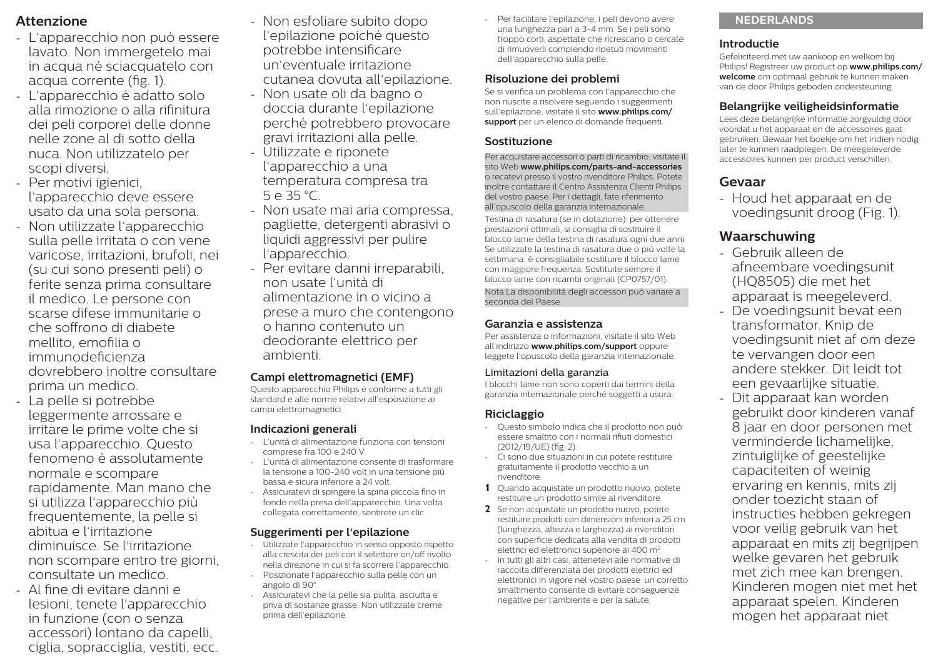# **Attenzione**

- L'apparecchio non può essere lavato. Non immergetelo mai in acqua né sciacquatelo con acqua corrente (fig. 1).
- L'apparecchio è adatto solo alla rimozione o alla rifinitura dei peli corporei delle donne nelle zone al di sotto della nuca. Non utilizzatelo per scopi diversi.
- Per motivi igienici, l'apparecchio deve essere usato da una sola persona.
- Non utilizzate l'apparecchio sulla pelle irritata o con vene varicose, irritazioni, brufoli, nei (su cui sono presenti peli) o ferite senza prima consultare il medico. Le persone con scarse difese immunitarie o che soffrono di diabete mellito, emofilia o immunodeficienza dovrebbero inoltre consultare prima un medico.
- La pelle si potrebbe leggermente arrossare e irritare le prime volte che si usa l'apparecchio. Questo fenomeno è assolutamente normale e scompare rapidamente. Man mano che si utilizza l'apparecchio più frequentemente, la pelle si abitua e l'irritazione diminuisce. Se l'irritazione non scompare entro tre giorni, consultate un medico.
- Al fine di evitare danni e lesioni, tenete l'apparecchio in funzione (con o senza accessori) lontano da capelli, ciglia, sopracciglia, vestiti, ecc.
- Non esfoliare subito dopo l'epilazione poiché questo potrebbe intensificare un'eventuale irritazione cutanea dovuta all'epilazione.
- Non usate oli da bagno o doccia durante l'epilazione perché potrebbero provocare gravi irritazioni alla pelle.
- Utilizzate e riponete l'apparecchio a una temperatura compresa tra 5 e 35 °C.
- Non usate mai aria compressa, pagliette, detergenti abrasivi o liquidi aggressivi per pulire l'apparecchio.
- Per evitare danni irreparabili, non usate l'unità di alimentazione in o vicino a prese a muro che contengono o hanno contenuto un deodorante elettrico per ambienti.

#### **Campi elettromagnetici (EMF)**

Questo apparecchio Philips è conforme a tutti gli standard e alle norme relativi all'esposizione ai campi elettromagnetici.

#### **Indicazioni generali**

- L'unità di alimentazione funziona con tensioni comprese fra 100 e 240 V.
- L'unità di alimentazione consente di trasformare la tensione a 100-240 volt in una tensione più bassa e sicura inferiore a 24 volt.
- Assicuratevi di spingere la spina piccola fino in fondo nella presa dell'apparecchio. Una volta collegata correttamente, sentirete un clic.

#### **Suggerimenti per l'epilazione**

- Utilizzate l'apparecchio in senso opposto rispetto alla crescita dei peli con il selettore on/off rivolto nella direzione in cui si fa scorrere l'apparecchio.
- Posizionate l'apparecchio sulla pelle con un angolo di 90°.
- Assicuratevi che la pelle sia pulita, asciutta e priva di sostanze grasse. Non utilizzate creme prima dell'epilazione.

- Per facilitare l'epilazione, i peli devono avere una lunghezza pari a 3-4 mm. Se i peli sono troppo corti, aspettate che ricrescano o cercate di rimuoverli compiendo ripetuti movimenti dell'apparecchio sulla pelle.

# **Risoluzione dei problemi**

Se si verifica un problema con l'apparecchio che non riuscite a risolvere seguendo i suggerimenti sull'epilazione, visitate il sito **www.philips.com/ support** per un elenco di domande frequenti.

#### **Sostituzione**

Per acquistare accessori o parti di ricambio, visitate il sito Web **www.philips.com/parts-and-accessories** o recatevi presso il vostro rivenditore Philips. Potete inoltre contattare il Centro Assistenza Clienti Philips del vostro paese. Per i dettagli, fate riferimento all'opuscolo della garanzia internazionale.

Testina di rasatura (se in dotazione): per ottenere prestazioni ottimali, si consiglia di sostituire il blocco lame della testina di rasatura ogni due anni. Se utilizzate la testina di rasatura due o più volte la settimana, è consigliabile sostituire il blocco lame con maggiore frequenza. Sostituite sempre il blocco lame con ricambi originali (CP0757/01). Nota:La disponibilità degli accessori può variare a seconda del Paese.

# **Garanzia e assistenza**

Per assistenza o informazioni, visitate il sito Web all'indirizzo **www.philips.com/support** oppure leggete l'opuscolo della garanzia internazionale.

#### Limitazioni della garanzia

I blocchi lame non sono coperti dai termini della garanzia internazionale perché soggetti a usura.

# **Riciclaggio**

- Questo simbolo indica che il prodotto non può essere smaltito con i normali rifiuti domestici (2012/19/UE) (fig. 2).
- Ci sono due situazioni in cui potete restituire gratuitamente il prodotto vecchio a un rivenditore:
- **1** Quando acquistate un prodotto nuovo, potete restituire un prodotto simile al rivenditore.
- **2** Se non acquistate un prodotto nuovo, potete restituire prodotti con dimensioni inferiori a 25 cm (lunghezza, altezza e larghezza) ai rivenditori con superficie dedicata alla vendita di prodotti elettrici ed elettronici superiore ai 400 m<sup>2</sup>.
- In tutti gli altri casi, attenetevi alle normative di raccolta differenziata dei prodotti elettrici ed elettronici in vigore nel vostro paese: un corretto smaltimento consente di evitare conseguenze negative per l'ambiente e per la salute.

# **NEDERLANDS**

### **Introductie**

Gefeliciteerd met uw aankoop en welkom bij Philips! Registreer uw product op **www.philips.com/ welcome** om optimaal gebruik te kunnen maken van de door Philips geboden ondersteuning.

### **Belangrijke veiligheidsinformatie**

Lees deze belangrijke informatie zorgvuldig door voordat u het apparaat en de accessoires gaat gebruiken. Bewaar het boekje om het indien nodig later te kunnen raadplegen. De meegeleverde accessoires kunnen per product verschillen.

# **Gevaar**

- Houd het apparaat en de voedingsunit droog (Fig. 1).

# **Waarschuwing**

- Gebruik alleen de afneembare voedingsunit (HQ8505) die met het apparaat is meegeleverd.
- De voedingsunit bevat een transformator. Knip de voedingsunit niet af om deze te vervangen door een andere stekker. Dit leidt tot een gevaarlijke situatie.
- Dit apparaat kan worden gebruikt door kinderen vanaf 8 jaar en door personen met verminderde lichamelijke, zintuiglijke of geestelijke capaciteiten of weinig ervaring en kennis, mits zij onder toezicht staan of instructies hebben gekregen voor veilig gebruik van het apparaat en mits zij begrijpen welke gevaren het gebruik met zich mee kan brengen. Kinderen mogen niet met het apparaat spelen. Kinderen mogen het apparaat niet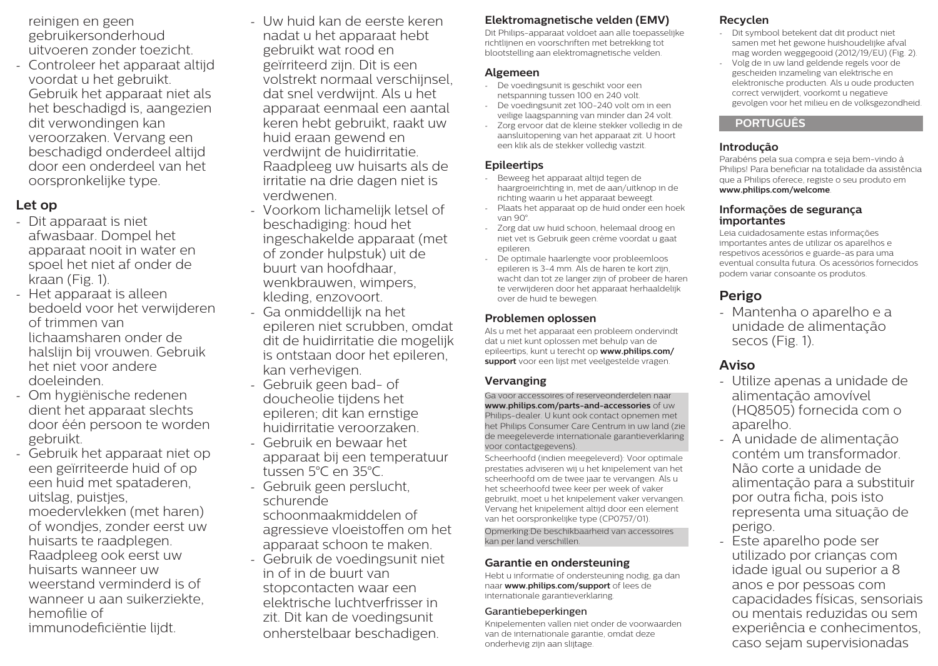reinigen en geen gebruikersonderhoud uitvoeren zonder toezicht.

- Controleer het apparaat altijd voordat u het gebruikt. Gebruik het apparaat niet als het beschadigd is, aangezien dit verwondingen kan veroorzaken. Vervang een beschadigd onderdeel altijd door een onderdeel van het oorspronkelijke type.

# **Let op**

- Dit apparaat is niet afwasbaar. Dompel het apparaat nooit in water en spoel het niet af onder de kraan (Fig. 1).
- Het apparaat is alleen bedoeld voor het verwijderen of trimmen van lichaamsharen onder de halslijn bij vrouwen. Gebruik het niet voor andere doeleinden.
- Om hygiënische redenen dient het apparaat slechts door één persoon te worden gebruikt.
- Gebruik het apparaat niet op een geïrriteerde huid of op een huid met spataderen, uitslag, puistjes, moedervlekken (met haren) of wondjes, zonder eerst uw huisarts te raadplegen. Raadpleeg ook eerst uw huisarts wanneer uw weerstand verminderd is of wanneer u aan suikerziekte, hemofilie of immunodeficiëntie lijdt.
- Uw huid kan de eerste keren nadat u het apparaat hebt gebruikt wat rood en geïrriteerd zijn. Dit is een volstrekt normaal verschijnsel, dat snel verdwijnt. Als u het apparaat eenmaal een aantal keren hebt gebruikt, raakt uw huid eraan gewend en verdwijnt de huidirritatie. Raadpleeg uw huisarts als de irritatie na drie dagen niet is verdwenen.
- Voorkom lichamelijk letsel of beschadiging: houd het ingeschakelde apparaat (met of zonder hulpstuk) uit de buurt van hoofdhaar, wenkbrauwen, wimpers, kleding, enzovoort.
- Ga onmiddellijk na het epileren niet scrubben, omdat dit de huidirritatie die mogelijk is ontstaan door het epileren, kan verhevigen.
- Gebruik geen bad- of doucheolie tijdens het epileren; dit kan ernstige huidirritatie veroorzaken. - Gebruik en bewaar het
- apparaat bij een temperatuur tussen 5°C en 35°C.
- Gebruik geen perslucht, schurende
- schoonmaakmiddelen of agressieve vloeistoffen om het apparaat schoon te maken.
- Gebruik de voedingsunit niet in of in de buurt van stopcontacten waar een elektrische luchtverfrisser in zit. Dit kan de voedingsunit onherstelbaar beschadigen.

# **Elektromagnetische velden (EMV)**

Dit Philips-apparaat voldoet aan alle toepasselijke richtlijnen en voorschriften met betrekking tot blootstelling aan elektromagnetische velden.

#### **Algemeen**

- De voedingsunit is geschikt voor een netspanning tussen 100 en 240 volt.
- De voedingsunit zet 100-240 volt om in een veilige laagspanning van minder dan 24 volt.
- Zorg ervoor dat de kleine stekker volledig in de aansluitopening van het apparaat zit. U hoort een klik als de stekker volledig vastzit.

### **Epileertips**

- Beweeg het apparaat altijd tegen de haargroeirichting in, met de aan/uitknop in de richting waarin u het apparaat beweegt.
- Plaats het apparaat op de huid onder een hoek van 90°.
- Zorg dat uw huid schoon, helemaal droog en niet vet is Gebruik geen crème voordat u gaat epileren.
- De optimale haarlengte voor probleemloos epileren is 3-4 mm. Als de haren te kort zijn, wacht dan tot ze langer zijn of probeer de haren te verwijderen door het apparaat herhaaldelijk over de huid te bewegen.

### **Problemen oplossen**

Als u met het apparaat een probleem ondervindt dat u niet kunt oplossen met behulp van de epileertips, kunt u terecht op **www.philips.com/ support** voor een lijst met veelgestelde vragen.

# **Vervanging**

Ga voor accessoires of reserveonderdelen naar **www.philips.com/parts-and-accessories** of uw Philips-dealer. U kunt ook contact opnemen met het Philips Consumer Care Centrum in uw land (zie de meegeleverde internationale garantieverklaring voor contactgegevens).

Scheerhoofd (indien meegeleverd): Voor optimale prestaties adviseren wij u het knipelement van het scheerhoofd om de twee jaar te vervangen. Als u het scheerhoofd twee keer per week of vaker gebruikt, moet u het knipelement vaker vervangen. Vervang het knipelement altijd door een element van het oorspronkelijke type (CP0757/01). Opmerking:De beschikbaarheid van accessoires kan per land verschillen.

#### **Garantie en ondersteuning**

Hebt u informatie of ondersteuning nodig, ga dan naar **www.philips.com/support** of lees de internationale garantieverklaring.

#### Garantiebeperkingen

Knipelementen vallen niet onder de voorwaarden van de internationale garantie, omdat deze onderhevig zijn aan slijtage.

# **Recyclen**

- Dit symbool betekent dat dit product niet samen met het gewone huishoudelijke afval mag worden weggegooid (2012/19/EU) (Fig. 2).
- Volg de in uw land geldende regels voor de gescheiden inzameling van elektrische en elektronische producten. Als u oude producten correct verwijdert, voorkomt u negatieve gevolgen voor het milieu en de volksgezondheid.

# **PORTUGUÊS**

### **Introdução**

Parabéns pela sua compra e seja bem-vindo à Philips! Para beneficiar na totalidade da assistência que a Philips oferece, registe o seu produto em **www.philips.com/welcome**.

#### **Informações de segurança importantes**

Leia cuidadosamente estas informações importantes antes de utilizar os aparelhos e respetivos acessórios e guarde-as para uma eventual consulta futura. Os acessórios fornecidos podem variar consoante os produtos.

# **Perigo**

- Mantenha o aparelho e a unidade de alimentação secos (Fig. 1).

# **Aviso**

- Utilize apenas a unidade de alimentação amovível (HQ8505) fornecida com o aparelho.
- A unidade de alimentação contém um transformador. Não corte a unidade de alimentação para a substituir por outra ficha, pois isto representa uma situação de perigo.
- Este aparelho pode ser utilizado por crianças com idade igual ou superior a 8 anos e por pessoas com capacidades físicas, sensoriais ou mentais reduzidas ou sem experiência e conhecimentos, caso sejam supervisionadas